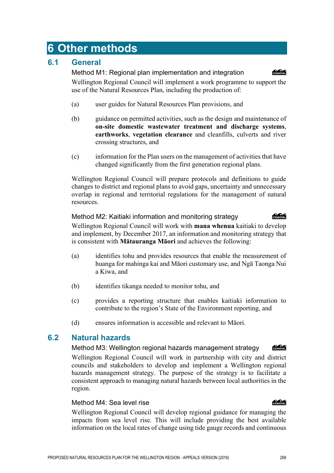# **6 Other methods**

# **6.1 General**

Method M1: Regional plan implementation and integration Wellington Regional Council will implement a work programme to support the use of the Natural Resources Plan, including the production of:

- (a) user guides for Natural Resources Plan provisions, and
- (b) guidance on permitted activities, such as the design and maintenance of **on-site domestic wastewater treatment and discharge systems**, **earthworks**, **vegetation clearance** and cleanfills, culverts and river crossing structures, and
- (c) information for the Plan users on the management of activities that have changed significantly from the first generation regional plans.

Wellington Regional Council will prepare protocols and definitions to guide changes to district and regional plans to avoid gaps, uncertainty and unnecessary overlap in regional and territorial regulations for the management of natural resources.

## Method M2: Kaitiaki information and monitoring strategy

Wellington Regional Council will work with **mana whenua** kaitiaki to develop and implement, by December 2017, an information and monitoring strategy that is consistent with **Mātauranga Māori** and achieves the following:

- (a) identifies tohu and provides resources that enable the measurement of huanga for mahinga kai and Māori customary use, and Ngā Taonga Nui a Kiwa, and
- (b) identifies tikanga needed to monitor tohu, and
- (c) provides a reporting structure that enables kaitiaki information to contribute to the region's State of the Environment reporting, and
- (d) ensures information is accessible and relevant to Māori.

# **6.2 Natural hazards**

Method M3: Wellington regional hazards management strategy COASTAL

Wellington Regional Council will work in partnership with city and district councils and stakeholders to develop and implement a Wellington regional hazards management strategy. The purpose of the strategy is to facilitate a consistent approach to managing natural hazards between local authorities in the region.

## Method M4: Sea level rise

Wellington Regional Council will develop regional guidance for managing the impacts from sea level rise. This will include providing the best available information on the local rates of change using tide gauge records and continuous

## COASTAL

## **Concrete**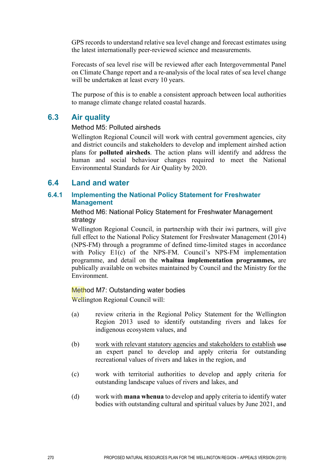GPS records to understand relative sea level change and forecast estimates using the latest internationally peer-reviewed science and measurements.

Forecasts of sea level rise will be reviewed after each Intergovernmental Panel on Climate Change report and a re-analysis of the local rates of sea level change will be undertaken at least every 10 years.

The purpose of this is to enable a consistent approach between local authorities to manage climate change related coastal hazards.

## **6.3 Air quality**

#### Method M5: Polluted airsheds

Wellington Regional Council will work with central government agencies, city and district councils and stakeholders to develop and implement airshed action plans for **polluted airsheds**. The action plans will identify and address the human and social behaviour changes required to meet the National Environmental Standards for Air Quality by 2020.

## **6.4 Land and water**

## **6.4.1 Implementing the National Policy Statement for Freshwater Management**

#### Method M6: National Policy Statement for Freshwater Management strategy

Wellington Regional Council, in partnership with their iwi partners, will give full effect to the National Policy Statement for Freshwater Management (2014) (NPS-FM) through a programme of defined time-limited stages in accordance with Policy E1(c) of the NPS-FM. Council's NPS-FM implementation programme, and detail on the **whaitua implementation programmes,** are publically available on websites maintained by Council and the Ministry for the Environment.

## Method M7: Outstanding water bodies

Wellington Regional Council will:

- (a) review criteria in the Regional Policy Statement for the Wellington Region 2013 used to identify outstanding rivers and lakes for indigenous ecosystem values, and
- (b) work with relevant statutory agencies and stakeholders to establish use an expert panel to develop and apply criteria for outstanding recreational values of rivers and lakes in the region, and
- (c) work with territorial authorities to develop and apply criteria for outstanding landscape values of rivers and lakes, and
- (d) work with **mana whenua** to develop and apply criteria to identify water bodies with outstanding cultural and spiritual values by June 2021, and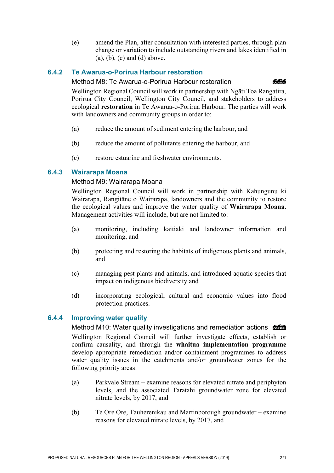(e) amend the Plan, after consultation with interested parties, through plan change or variation to include outstanding rivers and lakes identified in  $(a)$ ,  $(b)$ ,  $(c)$  and  $(d)$  above.

## **6.4.2 Te Awarua-o-Porirua Harbour restoration**

#### Method M8: Te Awarua-o-Porirua Harbour restoration

COASTAL

Wellington Regional Council will work in partnership with Ngāti Toa Rangatira, Porirua City Council, Wellington City Council, and stakeholders to address ecological **restoration** in Te Awarua-o-Porirua Harbour. The parties will work with landowners and community groups in order to:

- (a) reduce the amount of sediment entering the harbour, and
- (b) reduce the amount of pollutants entering the harbour, and
- (c) restore estuarine and freshwater environments.

## **6.4.3 Wairarapa Moana**

## Method M9: Wairarapa Moana

Wellington Regional Council will work in partnership with Kahungunu ki Wairarapa, Rangitāne o Wairarapa, landowners and the community to restore the ecological values and improve the water quality of **Wairarapa Moana**. Management activities will include, but are not limited to:

- (a) monitoring, including kaitiaki and landowner information and monitoring, and
- (b) protecting and restoring the habitats of indigenous plants and animals, and
- (c) managing pest plants and animals, and introduced aquatic species that impact on indigenous biodiversity and
- (d) incorporating ecological, cultural and economic values into flood protection practices.

## **6.4.4 Improving water quality**

Method M10: Water quality investigations and remediation actions  $\frac{6.666}{6.0660}$ Wellington Regional Council will further investigate effects, establish or confirm causality, and through the **whaitua implementation programme** develop appropriate remediation and/or containment programmes to address water quality issues in the catchments and/or groundwater zones for the following priority areas:

- (a) Parkvale Stream examine reasons for elevated nitrate and periphyton levels, and the associated Taratahi groundwater zone for elevated nitrate levels, by 2017, and
- (b) Te Ore Ore, Tauherenikau and Martinborough groundwater examine reasons for elevated nitrate levels, by 2017, and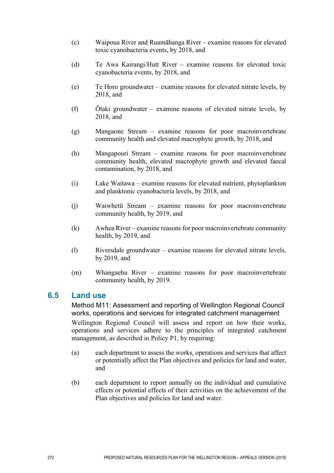- (c) Waipoua River and Ruamāhanga River examine reasons for elevated toxic cyanobacteria events, by 2018, and
- (d) Te Awa Kairangi/Hutt River examine reasons for elevated toxic cyanobacteria events, by 2018, and
- (e) Te Horo groundwater examine reasons for elevated nitrate levels, by 2018, and
- (f) Ōtaki groundwater examine reasons of elevated nitrate levels, by 2018, and
- (g) Mangaone Stream examine reasons for poor macroinvertebrate community health and elevated macrophyte growth, by 2018, and
- (h) Mangapouri Stream examine reasons for poor macroinvertebrate community health, elevated macrophyte growth and elevated faecal contamination, by 2018, and
- (i) Lake Waitawa examine reasons for elevated nutrient, phytoplankton and planktonic cyanobacteria levels, by 2018, and
- (j) Waiwhetū Stream examine reasons for poor macroinvertebrate community health, by 2019, and
- (k) Awhea River examine reasons for poor macroinvertebrate community health, by 2019, and
- (l) Riversdale groundwater examine reasons for elevated nitrate levels, by 2019, and
- (m) Whangaehu River examine reasons for poor macroinvertebrate community health, by 2019.

## **6.5 Land use**

Method M11: Assessment and reporting of Wellington Regional Council works, operations and services for integrated catchment management Wellington Regional Council will assess and report on how their works, operations and services adhere to the principles of integrated catchment management, as described in Policy P1, by requiring:

- (a) each department to assess the works, operations and services that affect or potentially affect the Plan objectives and policies for land and water, and
- (b) each department to report annually on the individual and cumulative effects or potential effects of their activities on the achievement of the Plan objectives and policies for land and water.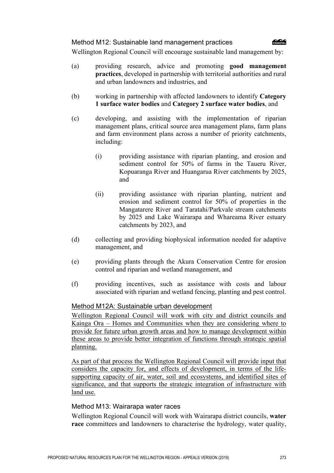#### Method M12: Sustainable land management practices



Wellington Regional Council will encourage sustainable land management by:

- (a) providing research, advice and promoting **good management practices**, developed in partnership with territorial authorities and rural and urban landowners and industries, and
- (b) working in partnership with affected landowners to identify **Category 1 surface water bodies** and **Category 2 surface water bodies**, and
- (c) developing, and assisting with the implementation of riparian management plans, critical source area management plans, farm plans and farm environment plans across a number of priority catchments, including:
	- (i) providing assistance with riparian planting, and erosion and sediment control for 50% of farms in the Taueru River, Kopuaranga River and Huangarua River catchments by 2025, and
	- (ii) providing assistance with riparian planting, nutrient and erosion and sediment control for 50% of properties in the Mangatarere River and Taratahi/Parkvale stream catchments by 2025 and Lake Wairarapa and Whareama River estuary catchments by 2023, and
- (d) collecting and providing biophysical information needed for adaptive management, and
- (e) providing plants through the Akura Conservation Centre for erosion control and riparian and wetland management, and
- (f) providing incentives, such as assistance with costs and labour associated with riparian and wetland fencing, planting and pest control.

#### Method M12A: Sustainable urban development

Wellington Regional Council will work with city and district councils and Kainga Ora – Homes and Communities when they are considering where to provide for future urban growth areas and how to manage development within these areas to provide better integration of functions through strategic spatial planning.

As part of that process the Wellington Regional Council will provide input that considers the capacity for, and effects of development, in terms of the lifesupporting capacity of air, water, soil and ecosystems, and identified sites of significance, and that supports the strategic integration of infrastructure with land use.

#### Method M13: Wairarapa water races

Wellington Regional Council will work with Wairarapa district councils, **water race** committees and landowners to characterise the hydrology, water quality,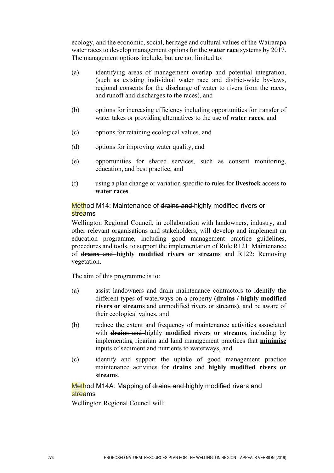ecology, and the economic, social, heritage and cultural values of the Wairarapa water races to develop management options for the **water race** systems by 2017. The management options include, but are not limited to:

- (a) identifying areas of management overlap and potential integration, (such as existing individual water race and district-wide by-laws, regional consents for the discharge of water to rivers from the races, and runoff and discharges to the races), and
- (b) options for increasing efficiency including opportunities for transfer of water takes or providing alternatives to the use of **water races**, and
- (c) options for retaining ecological values, and
- (d) options for improving water quality, and
- (e) opportunities for shared services, such as consent monitoring, education, and best practice, and
- (f) using a plan change or variation specific to rules for **livestock** access to **water races**.

#### Method M14: Maintenance of drains and highly modified rivers or streams

Wellington Regional Council, in collaboration with landowners, industry, and other relevant organisations and stakeholders, will develop and implement an education programme, including good management practice guidelines, procedures and tools, to support the implementation of Rule R121: Maintenance of **drains** and **highly modified rivers or streams** and R122: Removing vegetation.

The aim of this programme is to:

- (a) assist landowners and drain maintenance contractors to identify the different types of waterways on a property (**drains / highly modified rivers or streams** and unmodified rivers or streams**)**, and be aware of their ecological values, and
- (b) reduce the extent and frequency of maintenance activities associated with **drains** and highly **modified rivers or streams**, including by implementing riparian and land management practices that **minimise** inputs of sediment and nutrients to waterways, and
- (c) identify and support the uptake of good management practice maintenance activities for **drains** and **highly modified rivers or streams**.

#### Method M14A: Mapping of drains and highly modified rivers and streams

Wellington Regional Council will: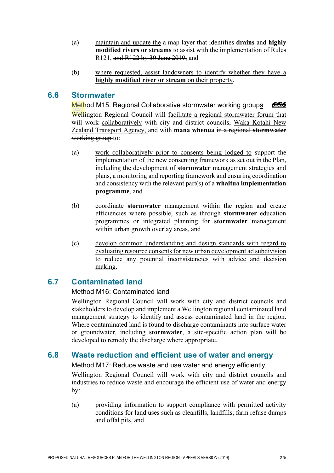- (a) maintain and update the a map layer that identifies **drains** and **highly modified rivers or streams** to assist with the implementation of Rules R121, and R122 by 30 June 2019, and
- (b) where requested, assist landowners to identify whether they have a **highly modified river or stream** on their property.

## **6.6 Stormwater**

Method M15: Regional Collaborative stormwater working groups COASTAL Wellington Regional Council will facilitate a regional stormwater forum that will work collaboratively with city and district councils, Waka Kotahi New Zealand Transport Agency, and with **mana whenua** in a regional **stormwater** working group to:

- (a) work collaboratively prior to consents being lodged to support the implementation of the new consenting framework as set out in the Plan, including the development of **stormwater** management strategies and plans, a monitoring and reporting framework and ensuring coordination and consistency with the relevant part(s) of a **whaitua implementation programme**, and
- (b) coordinate **stormwater** management within the region and create efficiencies where possible, such as through **stormwater** education programmes or integrated planning for **stormwater** management within urban growth overlay areas, and
- (c) develop common understanding and design standards with regard to evaluating resource consents for new urban development ad subdivision to reduce any potential inconsistencies with advice and decision making.

# **6.7 Contaminated land**

## Method M16: Contaminated land

Wellington Regional Council will work with city and district councils and stakeholders to develop and implement a Wellington regional contaminated land management strategy to identify and assess contaminated land in the region. Where contaminated land is found to discharge contaminants into surface water or groundwater, including **stormwater**, a site-specific action plan will be developed to remedy the discharge where appropriate.

# **6.8 Waste reduction and efficient use of water and energy**

Method M17: Reduce waste and use water and energy efficiently

Wellington Regional Council will work with city and district councils and industries to reduce waste and encourage the efficient use of water and energy by:

(a) providing information to support compliance with permitted activity conditions for land uses such as cleanfills, landfills, farm refuse dumps and offal pits, and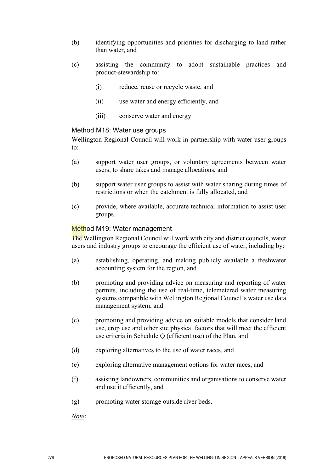- (b) identifying opportunities and priorities for discharging to land rather than water, and
- (c) assisting the community to adopt sustainable practices and product-stewardship to:
	- (i) reduce, reuse or recycle waste, and
	- (ii) use water and energy efficiently, and
	- (iii) conserve water and energy.

#### Method M18: Water use groups

Wellington Regional Council will work in partnership with water user groups to:

- (a) support water user groups, or voluntary agreements between water users, to share takes and manage allocations, and
- (b) support water user groups to assist with water sharing during times of restrictions or when the catchment is fully allocated, and
- (c) provide, where available, accurate technical information to assist user groups.

#### Method M19: Water management

The Wellington Regional Council will work with city and district councils, water users and industry groups to encourage the efficient use of water, including by:

- (a) establishing, operating, and making publicly available a freshwater accounting system for the region, and
- (b) promoting and providing advice on measuring and reporting of water permits, including the use of real-time, telemetered water measuring systems compatible with Wellington Regional Council's water use data management system, and
- (c) promoting and providing advice on suitable models that consider land use, crop use and other site physical factors that will meet the efficient use criteria in Schedule Q (efficient use) of the Plan, and
- (d) exploring alternatives to the use of water races, and
- (e) exploring alternative management options for water races, and
- (f) assisting landowners, communities and organisations to conserve water and use it efficiently, and
- (g) promoting water storage outside river beds.

*Note*: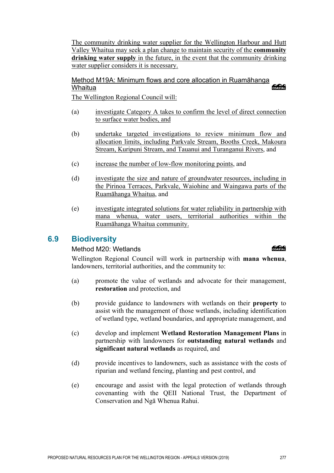The community drinking water supplier for the Wellington Harbour and Hutt Valley Whaitua may seek a plan change to maintain security of the **community drinking water supply** in the future, in the event that the community drinking water supplier considers it is necessary.

Method M19A: Minimum flows and core allocation in Ruamāhanga **ang Common** Whaitua

The Wellington Regional Council will:

- (a) investigate Category A takes to confirm the level of direct connection to surface water bodies, and
- (b) undertake targeted investigations to review minimum flow and allocation limits, including Parkvale Stream, Booths Creek, Makoura Stream, Kuripuni Stream, and Tauanui and Turanganui Rivers, and
- (c) increase the number of low-flow monitoring points, and
- (d) investigate the size and nature of groundwater resources, including in the Pirinoa Terraces, Parkvale, Waiohine and Waingawa parts of the Ruamāhanga Whaitua, and
- (e) investigate integrated solutions for water reliability in partnership with mana whenua, water users, territorial authorities within the Ruamāhanga Whaitua community.

# **6.9 Biodiversity**

## Method M20: Wetlands

Wellington Regional Council will work in partnership with **mana whenua**, landowners, territorial authorities, and the community to:

- (a) promote the value of wetlands and advocate for their management, **restoration** and protection, and
- (b) provide guidance to landowners with wetlands on their **property** to assist with the management of those wetlands, including identification of wetland type, wetland boundaries, and appropriate management, and
- (c) develop and implement **Wetland Restoration Management Plans** in partnership with landowners for **outstanding natural wetlands** and **significant natural wetlands** as required, and
- (d) provide incentives to landowners, such as assistance with the costs of riparian and wetland fencing, planting and pest control, and
- (e) encourage and assist with the legal protection of wetlands through covenanting with the QEII National Trust, the Department of Conservation and Ngā Whenua Rahui.

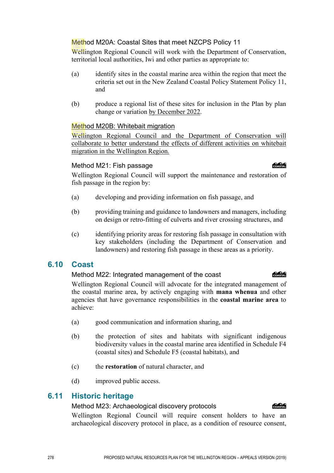#### Method M20A: Coastal Sites that meet NZCPS Policy 11

Wellington Regional Council will work with the Department of Conservation, territorial local authorities, Iwi and other parties as appropriate to:

- (a) identify sites in the coastal marine area within the region that meet the criteria set out in the New Zealand Coastal Policy Statement Policy 11, and
- (b) produce a regional list of these sites for inclusion in the Plan by plan change or variation by December 2022.

#### Method M20B: Whitebait migration

Wellington Regional Council and the Department of Conservation will collaborate to better understand the effects of different activities on whitebait migration in the Wellington Region.

#### Method M21: Fish passage

Wellington Regional Council will support the maintenance and restoration of fish passage in the region by:

- (a) developing and providing information on fish passage, and
- (b) providing training and guidance to landowners and managers, including on design or retro-fitting of culverts and river crossing structures, and
- (c) identifying priority areas for restoring fish passage in consultation with key stakeholders (including the Department of Conservation and landowners) and restoring fish passage in these areas as a priority.

## **6.10 Coast**

#### Method M22: Integrated management of the coast

Wellington Regional Council will advocate for the integrated management of the coastal marine area, by actively engaging with **mana whenua** and other agencies that have governance responsibilities in the **coastal marine area** to achieve:

- (a) good communication and information sharing, and
- (b) the protection of sites and habitats with significant indigenous biodiversity values in the coastal marine area identified in Schedule F4 (coastal sites) and Schedule F5 (coastal habitats), and
- (c) the **restoration** of natural character, and
- (d) improved public access.

## **6.11 Historic heritage**

## Method M23: Archaeological discovery protocols

Wellington Regional Council will require consent holders to have an archaeological discovery protocol in place, as a condition of resource consent,

## COASTAL

#### eses

## **Colection**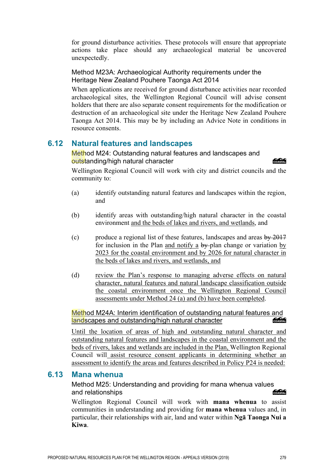for ground disturbance activities. These protocols will ensure that appropriate actions take place should any archaeological material be uncovered unexpectedly.

Method M23A: Archaeological Authority requirements under the Heritage New Zealand Pouhere Taonga Act 2014

When applications are received for ground disturbance activities near recorded archaeological sites, the Wellington Regional Council will advise consent holders that there are also separate consent requirements for the modification or destruction of an archaeological site under the Heritage New Zealand Pouhere Taonga Act 2014. This may be by including an Advice Note in conditions in resource consents.

# **6.12 Natural features and landscapes**

Method M24: Outstanding natural features and landscapes and outstanding/high natural character

COASTAL

Wellington Regional Council will work with city and district councils and the community to:

- (a) identify outstanding natural features and landscapes within the region, and
- (b) identify areas with outstanding/high natural character in the coastal environment and the beds of lakes and rivers, and wetlands, and
- (c) produce a regional list of these features, landscapes and areas  $\frac{by}{2017}$ for inclusion in the Plan and notify a  $by$ -plan change or variation by 2023 for the coastal environment and by 2026 for natural character in the beds of lakes and rivers, and wetlands, and
- (d) review the Plan's response to managing adverse effects on natural character, natural features and natural landscape classification outside the coastal environment once the Wellington Regional Council assessments under Method 24 (a) and (b) have been completed.

## Method M24A: Interim identification of outstanding natural features and<br>landscapes and outstanding/high natural character landscapes and outstanding/high natural character

Until the location of areas of high and outstanding natural character and outstanding natural features and landscapes in the coastal environment and the beds of rivers, lakes and wetlands are included in the Plan, Wellington Regional Council will assist resource consent applicants in determining whether an assessment to identify the areas and features described in Policy P24 is needed:

## **6.13 Mana whenua**

Method M25: Understanding and providing for mana whenua values<br>and relationshins and relationships

Wellington Regional Council will work with **mana whenua** to assist communities in understanding and providing for **mana whenua** values and, in particular, their relationships with air, land and water within **Ngā Taonga Nui a Kiwa**.